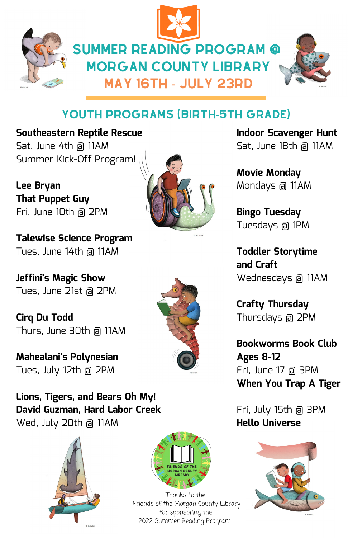





# YOUTH PROGRAMS (BIRTH-5TH GRADE)

**Southeastern Reptile Rescue** Sat, June 4th @ 11AM Summer Kick-Off Program!

**Lee Bryan That Puppet Guy** Fri, June 10th @ 2PM

**Talewise Science Program** Tues, June 14th @ 11AM

**Jeffini's Magic Show** Tues, June 21st @ 2PM

**Cirq Du Todd** Thurs, June 30th @ 11AM

**Mahealani's Polynesian** Tues, July 12th @ 2PM

**Lions, Tigers, and Bears Oh My! David Guzman, Hard Labor Creek** Wed, July 20th @ 11AM





Thanks to the Friends of the Morgan County Library for sponsoring the 2022 Summer Reading Program

**Indoor Scavenger Hunt** Sat, June 18th @ 11AM

**Movie Monday** Mondays @ 11AM

**Bingo Tuesday** Tuesdays @ 1PM

**Toddler Storytime and Craft** Wednesdays @ 11AM

**Crafty Thursday** Thursdays @ 2PM

**Bookworms Book Club Ages 8-12** Fri, June 17 @ 3PM **When You Trap A Tiger**

Fri, July 15th @ 3PM **Hello Universe**